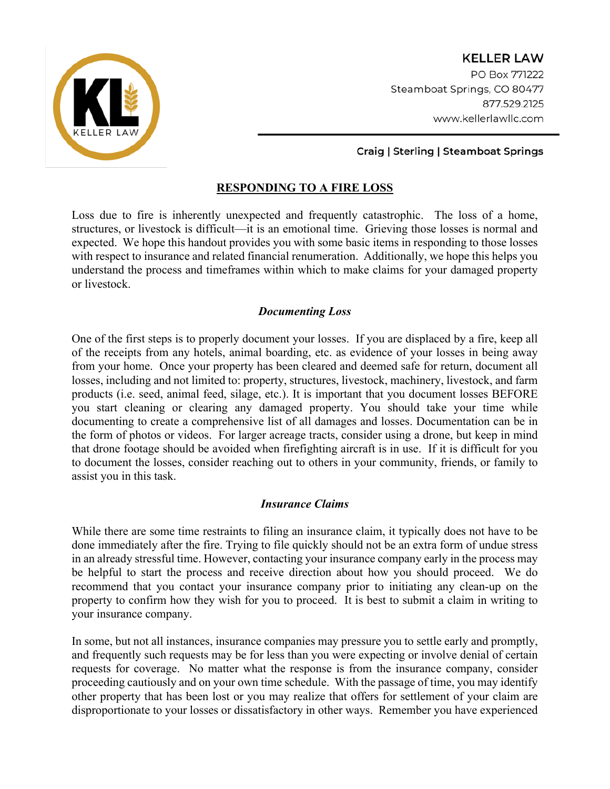

**KELLER LAW** PO Box 771222 Steamboat Springs, CO 80477 877.529.2125 www.kellerlawllc.com

## Craig | Sterling | Steamboat Springs

# **RESPONDING TO A FIRE LOSS**

Loss due to fire is inherently unexpected and frequently catastrophic. The loss of a home, structures, or livestock is difficult—it is an emotional time. Grieving those losses is normal and expected. We hope this handout provides you with some basic items in responding to those losses with respect to insurance and related financial renumeration. Additionally, we hope this helps you understand the process and timeframes within which to make claims for your damaged property or livestock.

#### *Documenting Loss*

One of the first steps is to properly document your losses. If you are displaced by a fire, keep all of the receipts from any hotels, animal boarding, etc. as evidence of your losses in being away from your home. Once your property has been cleared and deemed safe for return, document all losses, including and not limited to: property, structures, livestock, machinery, livestock, and farm products (i.e. seed, animal feed, silage, etc.). It is important that you document losses BEFORE you start cleaning or clearing any damaged property. You should take your time while documenting to create a comprehensive list of all damages and losses. Documentation can be in the form of photos or videos. For larger acreage tracts, consider using a drone, but keep in mind that drone footage should be avoided when firefighting aircraft is in use. If it is difficult for you to document the losses, consider reaching out to others in your community, friends, or family to assist you in this task.

## *Insurance Claims*

While there are some time restraints to filing an insurance claim, it typically does not have to be done immediately after the fire. Trying to file quickly should not be an extra form of undue stress in an already stressful time. However, contacting your insurance company early in the process may be helpful to start the process and receive direction about how you should proceed. We do recommend that you contact your insurance company prior to initiating any clean-up on the property to confirm how they wish for you to proceed. It is best to submit a claim in writing to your insurance company.

In some, but not all instances, insurance companies may pressure you to settle early and promptly, and frequently such requests may be for less than you were expecting or involve denial of certain requests for coverage. No matter what the response is from the insurance company, consider proceeding cautiously and on your own time schedule. With the passage of time, you may identify other property that has been lost or you may realize that offers for settlement of your claim are disproportionate to your losses or dissatisfactory in other ways. Remember you have experienced